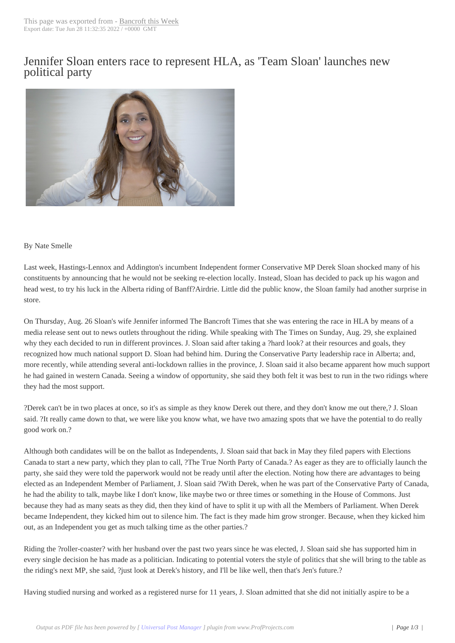## Jennifer Sloan ente[rs race to rep](http://www.bancroftthisweek.com/?p=11862)resent HLA, as 'Team Sloan' launches new political party



## By Nate Smelle

Last week, Hastings-Lennox and Addington's incumbent Independent former Conservative MP Derek Sloan shocked many of his constituents by announcing that he would not be seeking re-election locally. Instead, Sloan has decided to pack up his wagon and head west, to try his luck in the Alberta riding of Banff?Airdrie. Little did the public know, the Sloan family had another surprise in store.

On Thursday, Aug. 26 Sloan's wife Jennifer informed The Bancroft Times that she was entering the race in HLA by means of a media release sent out to news outlets throughout the riding. While speaking with The Times on Sunday, Aug. 29, she explained why they each decided to run in different provinces. J. Sloan said after taking a ?hard look? at their resources and goals, they recognized how much national support D. Sloan had behind him. During the Conservative Party leadership race in Alberta; and, more recently, while attending several anti-lockdown rallies in the province, J. Sloan said it also became apparent how much support he had gained in western Canada. Seeing a window of opportunity, she said they both felt it was best to run in the two ridings where they had the most support.

?Derek can't be in two places at once, so it's as simple as they know Derek out there, and they don't know me out there,? J. Sloan said. ?It really came down to that, we were like you know what, we have two amazing spots that we have the potential to do really good work on.?

Although both candidates will be on the ballot as Independents, J. Sloan said that back in May they filed papers with Elections Canada to start a new party, which they plan to call, ?The True North Party of Canada.? As eager as they are to officially launch the party, she said they were told the paperwork would not be ready until after the election. Noting how there are advantages to being elected as an Independent Member of Parliament, J. Sloan said ?With Derek, when he was part of the Conservative Party of Canada, he had the ability to talk, maybe like I don't know, like maybe two or three times or something in the House of Commons. Just because they had as many seats as they did, then they kind of have to split it up with all the Members of Parliament. When Derek became Independent, they kicked him out to silence him. The fact is they made him grow stronger. Because, when they kicked him out, as an Independent you get as much talking time as the other parties.?

Riding the ?roller-coaster? with her husband over the past two years since he was elected, J. Sloan said she has supported him in every single decision he has made as a politician. Indicating to potential voters the style of politics that she will bring to the table as the riding's next MP, she said, ?just look at Derek's history, and I'll be like well, then that's Jen's future.?

Having studied nursing and worked as a registered nurse for 11 years, J. Sloan admitted that she did not initially aspire to be a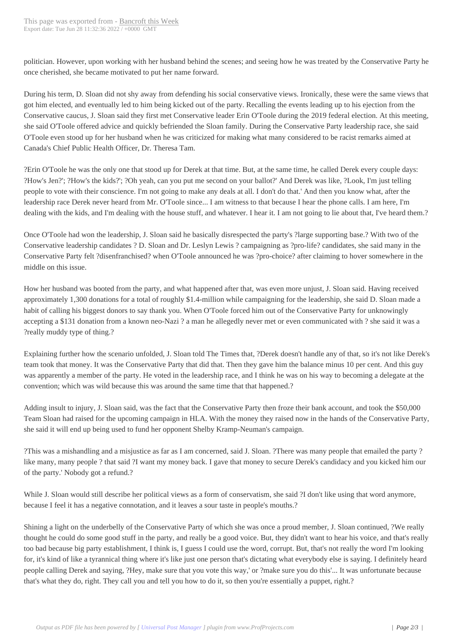politician. However, upon wor[king with her husban](http://www.bancroftthisweek.com/?p=11862)d behind the scenes; and seeing how he was treated by the Conservative Party he once cherished, she became motivated to put her name forward.

During his term, D. Sloan did not shy away from defending his social conservative views. Ironically, these were the same views that got him elected, and eventually led to him being kicked out of the party. Recalling the events leading up to his ejection from the Conservative caucus, J. Sloan said they first met Conservative leader Erin O'Toole during the 2019 federal election. At this meeting, she said O'Toole offered advice and quickly befriended the Sloan family. During the Conservative Party leadership race, she said O'Toole even stood up for her husband when he was criticized for making what many considered to be racist remarks aimed at Canada's Chief Public Health Officer, Dr. Theresa Tam.

?Erin O'Toole he was the only one that stood up for Derek at that time. But, at the same time, he called Derek every couple days: ?How's Jen?'; ?How's the kids?'; ?Oh yeah, can you put me second on your ballot?' And Derek was like, ?Look, I'm just telling people to vote with their conscience. I'm not going to make any deals at all. I don't do that.' And then you know what, after the leadership race Derek never heard from Mr. O'Toole since... I am witness to that because I hear the phone calls. I am here, I'm dealing with the kids, and I'm dealing with the house stuff, and whatever. I hear it. I am not going to lie about that, I've heard them.?

Once O'Toole had won the leadership, J. Sloan said he basically disrespected the party's ?large supporting base.? With two of the Conservative leadership candidates ? D. Sloan and Dr. Leslyn Lewis ? campaigning as ?pro-life? candidates, she said many in the Conservative Party felt ?disenfranchised? when O'Toole announced he was ?pro-choice? after claiming to hover somewhere in the middle on this issue.

How her husband was booted from the party, and what happened after that, was even more unjust, J. Sloan said. Having received approximately 1,300 donations for a total of roughly \$1.4-million while campaigning for the leadership, she said D. Sloan made a habit of calling his biggest donors to say thank you. When O'Toole forced him out of the Conservative Party for unknowingly accepting a \$131 donation from a known neo-Nazi ? a man he allegedly never met or even communicated with ? she said it was a ?really muddy type of thing.?

Explaining further how the scenario unfolded, J. Sloan told The Times that, ?Derek doesn't handle any of that, so it's not like Derek's team took that money. It was the Conservative Party that did that. Then they gave him the balance minus 10 per cent. And this guy was apparently a member of the party. He voted in the leadership race, and I think he was on his way to becoming a delegate at the convention; which was wild because this was around the same time that that happened.?

Adding insult to injury, J. Sloan said, was the fact that the Conservative Party then froze their bank account, and took the \$50,000 Team Sloan had raised for the upcoming campaign in HLA. With the money they raised now in the hands of the Conservative Party, she said it will end up being used to fund her opponent Shelby Kramp-Neuman's campaign.

?This was a mishandling and a misjustice as far as I am concerned, said J. Sloan. ?There was many people that emailed the party ? like many, many people ? that said ?I want my money back. I gave that money to secure Derek's candidacy and you kicked him our of the party.' Nobody got a refund.?

While J. Sloan would still describe her political views as a form of conservatism, she said ?I don't like using that word anymore, because I feel it has a negative connotation, and it leaves a sour taste in people's mouths.?

Shining a light on the underbelly of the Conservative Party of which she was once a proud member, J. Sloan continued, ?We really thought he could do some good stuff in the party, and really be a good voice. But, they didn't want to hear his voice, and that's really too bad because big party establishment, I think is, I guess I could use the word, corrupt. But, that's not really the word I'm looking for, it's kind of like a tyrannical thing where it's like just one person that's dictating what everybody else is saying. I definitely heard people calling Derek and saying, ?Hey, make sure that you vote this way,' or ?make sure you do this'... It was unfortunate because that's what they do, right. They call you and tell you how to do it, so then you're essentially a puppet, right.?